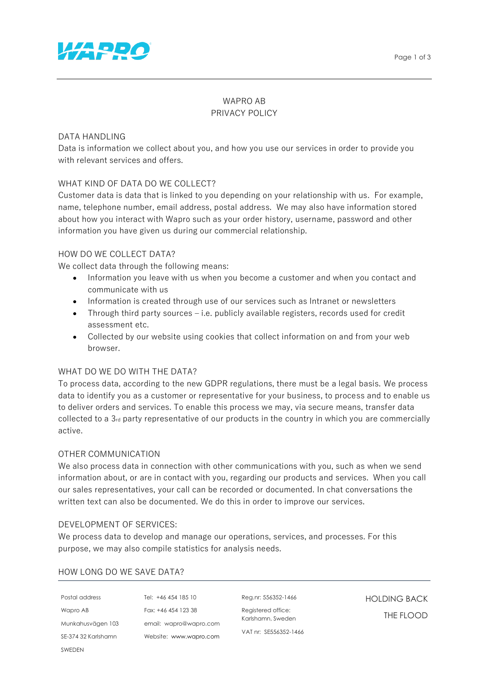

# WAPRO AB PRIVACY POLICY

### DATA HANDLING

Data is information we collect about you, and how you use our services in order to provide you with relevant services and offers.

## WHAT KIND OF DATA DO WE COLLECT?

Customer data is data that is linked to you depending on your relationship with us. For example, name, telephone number, email address, postal address. We may also have information stored about how you interact with Wapro such as your order history, username, password and other information you have given us during our commercial relationship.

## HOW DO WE COLLECT DATA?

We collect data through the following means:

- Information you leave with us when you become a customer and when you contact and communicate with us
- Information is created through use of our services such as Intranet or newsletters
- Through third party sources i.e. publicly available registers, records used for credit assessment etc.
- Collected by our website using cookies that collect information on and from your web browser.

### WHAT DO WE DO WITH THE DATA?

To process data, according to the new GDPR regulations, there must be a legal basis. We process data to identify you as a customer or representative for your business, to process and to enable us to deliver orders and services. To enable this process we may, via secure means, transfer data collected to a 3<sup>rd</sup> party representative of our products in the country in which you are commercially active.

### OTHER COMMUNICATION

We also process data in connection with other communications with you, such as when we send information about, or are in contact with you, regarding our products and services. When you call our sales representatives, your call can be recorded or documented. In chat conversations the written text can also be documented. We do this in order to improve our services.

### DEVELOPMENT OF SERVICES:

We process data to develop and manage our operations, services, and processes. For this purpose, we may also compile statistics for analysis needs.

### HOW LONG DO WE SAVE DATA?

| Postal address      | Tel: $+46$ |
|---------------------|------------|
| Wapro AB            | Fax: $+46$ |
| Munkahusvägen 103   | email: v   |
| SE-374 32 Karlshamn | Website:   |
| SWEDEN              |            |

454 185 10 454 123 38 vapro@wapro.com Website: www.wapro.com Reg.nr: 556352-1466

Registered office: Karlshamn, Sweden VAT nr: SE556352-1466 HOLDING BACK THE FLOOD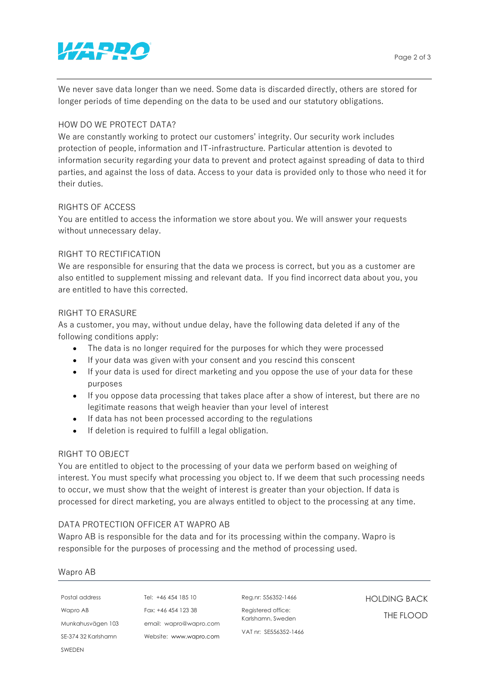# *VARRO*

We never save data longer than we need. Some data is discarded directly, others are stored for longer periods of time depending on the data to be used and our statutory obligations.

# HOW DO WE PROTECT DATA?

We are constantly working to protect our customers' integrity. Our security work includes protection of people, information and IT-infrastructure. Particular attention is devoted to information security regarding your data to prevent and protect against spreading of data to third parties, and against the loss of data. Access to your data is provided only to those who need it for their duties.

# RIGHTS OF ACCESS

You are entitled to access the information we store about you. We will answer your requests without unnecessary delay.

# RIGHT TO RECTIFICATION

We are responsible for ensuring that the data we process is correct, but you as a customer are also entitled to supplement missing and relevant data. If you find incorrect data about you, you are entitled to have this corrected.

## RIGHT TO ERASURE

As a customer, you may, without undue delay, have the following data deleted if any of the following conditions apply:

- The data is no longer required for the purposes for which they were processed
- If your data was given with your consent and you rescind this conscent
- If your data is used for direct marketing and you oppose the use of your data for these purposes
- If you oppose data processing that takes place after a show of interest, but there are no legitimate reasons that weigh heavier than your level of interest
- If data has not been processed according to the regulations
- If deletion is required to fulfill a legal obligation.

## RIGHT TO OBJECT

You are entitled to object to the processing of your data we perform based on weighing of interest. You must specify what processing you object to. If we deem that such processing needs to occur, we must show that the weight of interest is greater than your objection. If data is processed for direct marketing, you are always entitled to object to the processing at any time.

## DATA PROTECTION OFFICER AT WAPRO AB

Wapro AB is responsible for the data and for its processing within the company. Wapro is responsible for the purposes of processing and the method of processing used.

## Wapro AB

| Postal address      | T۴ |
|---------------------|----|
| Wapro AB            | F٢ |
| Munkahusvägen 103   | eı |
| SE-374 32 Karlshamn |    |
| SWEDEN              |    |

el: +46 454 185 10 Fax: +46 454 123 38 email: wapro@wapro.com Website: www.wapro.com Reg.nr: 556352-1466

Registered office: Karlshamn, Sweden VAT nr: SE556352-1466 HOLDING BACK THE FLOOD